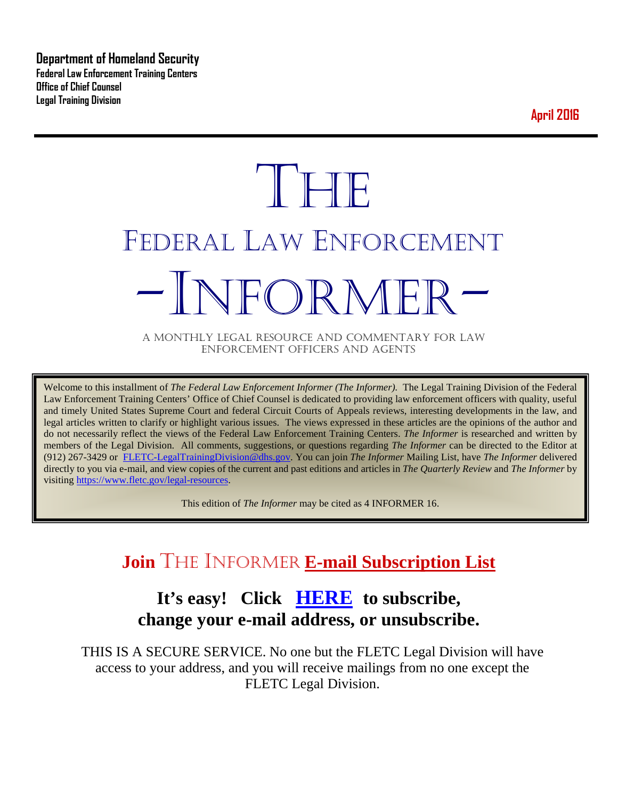**Department of Homeland Security Federal Law Enforcement Training Centers Office of Chief Counsel Legal Training Division** 

**April 2016**

# **THE** FEDERAL LAW ENFORCEMENT -INFORMER- A MONTHLY LEGAL RESOURCE AND COMMENTARY FOR LAW

ENFORCEMENT OFFICERS AND AGENTS

Welcome to this installment of *The Federal Law Enforcement Informer (The Informer).* The Legal Training Division of the Federal Law Enforcement Training Centers' Office of Chief Counsel is dedicated to providing law enforcement officers with quality, useful and timely United States Supreme Court and federal Circuit Courts of Appeals reviews, interesting developments in the law, and legal articles written to clarify or highlight various issues. The views expressed in these articles are the opinions of the author and do not necessarily reflect the views of the Federal Law Enforcement Training Centers. *The Informer* is researched and written by members of the Legal Division. All comments, suggestions, or questions regarding *The Informer* can be directed to the Editor at (912) 267-3429 or [FLETC-LegalTrainingDivision@dhs.gov.](mailto:FLETC-LegalTrainingDivision@dhs.gov) You can join *The Informer* Mailing List, have *The Informer* delivered directly to you via e-mail, and view copies of the current and past editions and articles in *The Quarterly Review* and *The Informer* by visiting [https://www.fletc.gov/legal-resources.](https://www.fletc.gov/legal-resources) 

This edition of *The Informer* may be cited as 4 INFORMER 16.

# **Join** THE INFORMER **E-mail Subscription List**

# **It's easy! Click [HERE](http://peach.ease.lsoft.com/scripts/wa.exe?SUBED1=fletclgd&A=1) to subscribe, change your e-mail address, or unsubscribe.**

THIS IS A SECURE SERVICE. No one but the FLETC Legal Division will have access to your address, and you will receive mailings from no one except the FLETC Legal Division.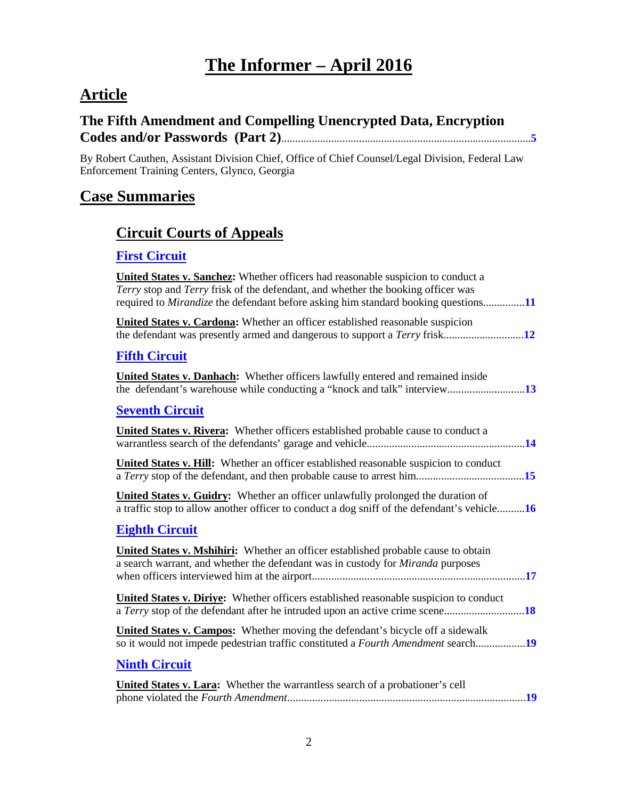# **The Informer – April 2016**

# **Article**

#### **The Fifth Amendment and Compelling Unencrypted Data, Encryption Codes and/or Passwords (Part 2)**..........................................................................................**[5](#page-4-0)**

By Robert Cauthen, Assistant Division Chief, Office of Chief Counsel/Legal Division, Federal Law Enforcement Training Centers, Glynco, Georgia

### **Case Summaries**

# **[Circuit Courts of Appeals](#page-10-0)**

#### **[First Circuit](#page-10-1)**

| United States v. Sanchez: Whether officers had reasonable suspicion to conduct a<br>Terry stop and Terry frisk of the defendant, and whether the booking officer was<br>required to <i>Mirandize</i> the defendant before asking him standard booking questions11 |
|-------------------------------------------------------------------------------------------------------------------------------------------------------------------------------------------------------------------------------------------------------------------|
| <b>United States v. Cardona:</b> Whether an officer established reasonable suspicion                                                                                                                                                                              |
| <b>Fifth Circuit</b>                                                                                                                                                                                                                                              |
| United States v. Danhach: Whether officers lawfully entered and remained inside                                                                                                                                                                                   |
| <b>Seventh Circuit</b>                                                                                                                                                                                                                                            |
| <b>United States v. Rivera:</b> Whether officers established probable cause to conduct a                                                                                                                                                                          |
| United States v. Hill: Whether an officer established reasonable suspicion to conduct                                                                                                                                                                             |
| United States v. Guidry: Whether an officer unlawfully prolonged the duration of<br>a traffic stop to allow another officer to conduct a dog sniff of the defendant's vehicle16                                                                                   |
| <b>Eighth Circuit</b>                                                                                                                                                                                                                                             |
| United States v. Mshihiri: Whether an officer established probable cause to obtain<br>a search warrant, and whether the defendant was in custody for Miranda purposes                                                                                             |
| United States v. Diriye: Whether officers established reasonable suspicion to conduct                                                                                                                                                                             |
| <b>United States v. Campos:</b> Whether moving the defendant's bicycle off a sidewalk<br>so it would not impede pedestrian traffic constituted a Fourth Amendment search19                                                                                        |
| <b>Ninth Circuit</b>                                                                                                                                                                                                                                              |
| <b>United States v. Lara:</b> Whether the warrantless search of a probationer's cell                                                                                                                                                                              |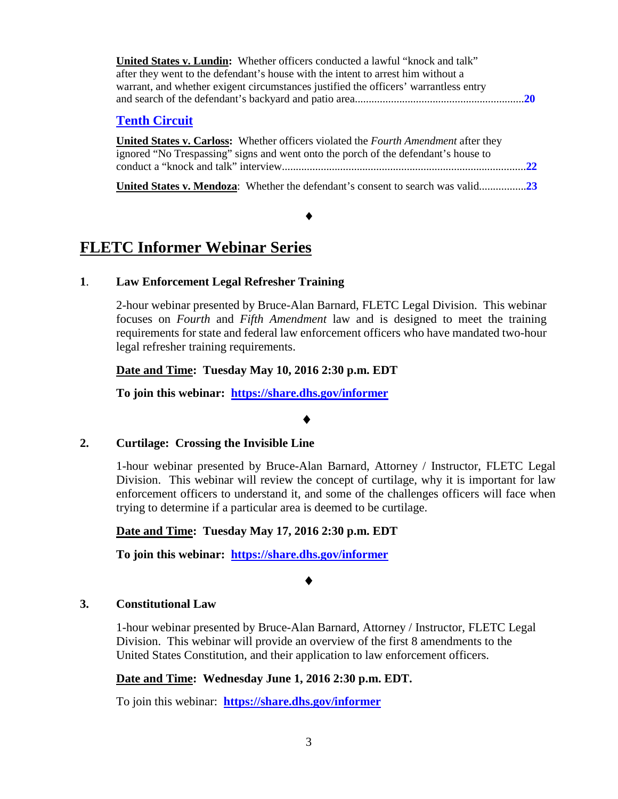| <b>United States v. Lundin:</b> Whether officers conducted a lawful "knock and talk" |  |
|--------------------------------------------------------------------------------------|--|
| after they went to the defendant's house with the intent to arrest him without a     |  |
| warrant, and whether exigent circumstances justified the officers' warrantless entry |  |
|                                                                                      |  |
|                                                                                      |  |

#### **[Tenth Circuit](#page-21-0)**

| United States v. Carloss: Whether officers violated the Fourth Amendment after they |  |
|-------------------------------------------------------------------------------------|--|
| ignored "No Trespassing" signs and went onto the porch of the defendant's house to  |  |
|                                                                                     |  |
|                                                                                     |  |

**United States v. Mendoza**: Whether the defendant's consent to search was valid.................**[23](#page-22-0)**

 $\bullet$ 

# **FLETC Informer Webinar Series**

#### **1**. **Law Enforcement Legal Refresher Training**

2-hour webinar presented by Bruce-Alan Barnard, FLETC Legal Division. This webinar focuses on *Fourth* and *Fifth Amendment* law and is designed to meet the training requirements for state and federal law enforcement officers who have mandated two-hour legal refresher training requirements.

#### **Date and Time: Tuesday May 10, 2016 2:30 p.m. EDT**

**To join this webinar: <https://share.dhs.gov/informer>**

#### ♦

#### **2. Curtilage: Crossing the Invisible Line**

1-hour webinar presented by Bruce-Alan Barnard, Attorney / Instructor, FLETC Legal Division. This webinar will review the concept of curtilage, why it is important for law enforcement officers to understand it, and some of the challenges officers will face when trying to determine if a particular area is deemed to be curtilage.

#### **Date and Time: Tuesday May 17, 2016 2:30 p.m. EDT**

**To join this webinar: <https://share.dhs.gov/informer>**

#### ♦

#### **3. Constitutional Law**

1-hour webinar presented by Bruce-Alan Barnard, Attorney / Instructor, FLETC Legal Division. This webinar will provide an overview of the first 8 amendments to the United States Constitution, and their application to law enforcement officers.

#### **Date and Time: Wednesday June 1, 2016 2:30 p.m. EDT.**

To join this webinar: **<https://share.dhs.gov/informer>**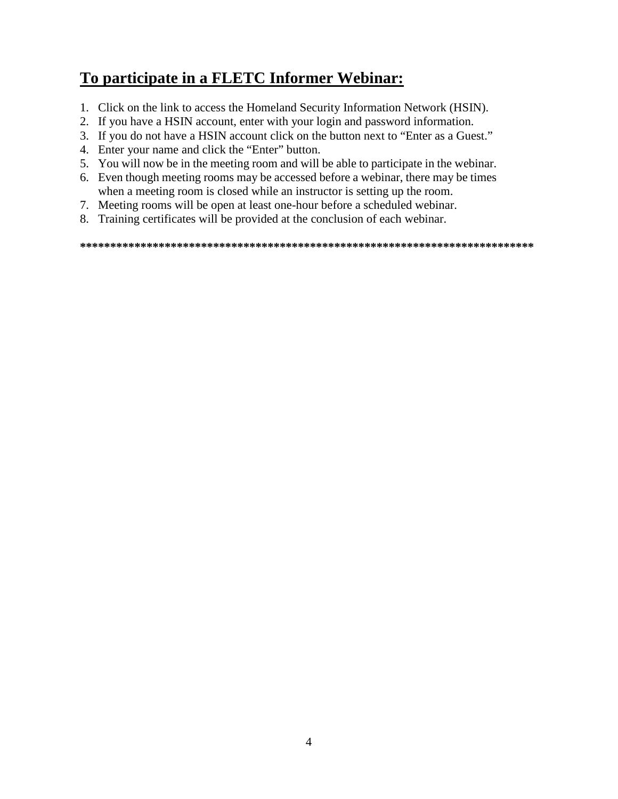# **To participate in a FLETC Informer Webinar:**

- 1. Click on the link to access the Homeland Security Information Network (HSIN).
- 2. If you have a HSIN account, enter with your login and password information.
- 3. If you do not have a HSIN account click on the button next to "Enter as a Guest."
- 4. Enter your name and click the "Enter" button.
- 5. You will now be in the meeting room and will be able to participate in the webinar.
- 6. Even though meeting rooms may be accessed before a webinar, there may be times when a meeting room is closed while an instructor is setting up the room.
- 7. Meeting rooms will be open at least one-hour before a scheduled webinar.
- 8. Training certificates will be provided at the conclusion of each webinar.

**\*\*\*\*\*\*\*\*\*\*\*\*\*\*\*\*\*\*\*\*\*\*\*\*\*\*\*\*\*\*\*\*\*\*\*\*\*\*\*\*\*\*\*\*\*\*\*\*\*\*\*\*\*\*\*\*\*\*\*\*\*\*\*\*\*\*\*\*\*\*\*\*\*\*\***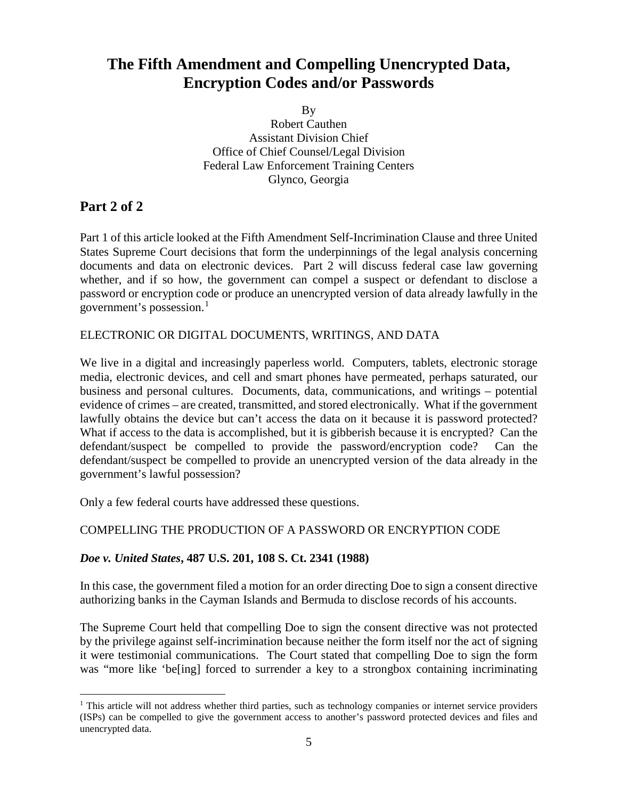# <span id="page-4-0"></span>**The Fifth Amendment and Compelling Unencrypted Data, Encryption Codes and/or Passwords**

By

Robert Cauthen Assistant Division Chief Office of Chief Counsel/Legal Division Federal Law Enforcement Training Centers Glynco, Georgia

#### **Part 2 of 2**

Part 1 of this article looked at the Fifth Amendment Self-Incrimination Clause and three United States Supreme Court decisions that form the underpinnings of the legal analysis concerning documents and data on electronic devices. Part 2 will discuss federal case law governing whether, and if so how, the government can compel a suspect or defendant to disclose a password or encryption code or produce an unencrypted version of data already lawfully in the government's possession.[1](#page-4-1)

#### ELECTRONIC OR DIGITAL DOCUMENTS, WRITINGS, AND DATA

We live in a digital and increasingly paperless world. Computers, tablets, electronic storage media, electronic devices, and cell and smart phones have permeated, perhaps saturated, our business and personal cultures. Documents, data, communications, and writings – potential evidence of crimes – are created, transmitted, and stored electronically. What if the government lawfully obtains the device but can't access the data on it because it is password protected? What if access to the data is accomplished, but it is gibberish because it is encrypted? Can the defendant/suspect be compelled to provide the password/encryption code? Can the defendant/suspect be compelled to provide an unencrypted version of the data already in the government's lawful possession?

Only a few federal courts have addressed these questions.

#### COMPELLING THE PRODUCTION OF A PASSWORD OR ENCRYPTION CODE

#### *Doe v. United States***, 487 U.S. 201, 108 S. Ct. 2341 (1988)**

In this case, the government filed a motion for an order directing Doe to sign a consent directive authorizing banks in the Cayman Islands and Bermuda to disclose records of his accounts.

The Supreme Court held that compelling Doe to sign the consent directive was not protected by the privilege against self-incrimination because neither the form itself nor the act of signing it were testimonial communications. The Court stated that compelling Doe to sign the form was "more like 'be[ing] forced to surrender a key to a strongbox containing incriminating

<span id="page-4-1"></span> $<sup>1</sup>$  This article will not address whether third parties, such as technology companies or internet service providers</sup> (ISPs) can be compelled to give the government access to another's password protected devices and files and unencrypted data.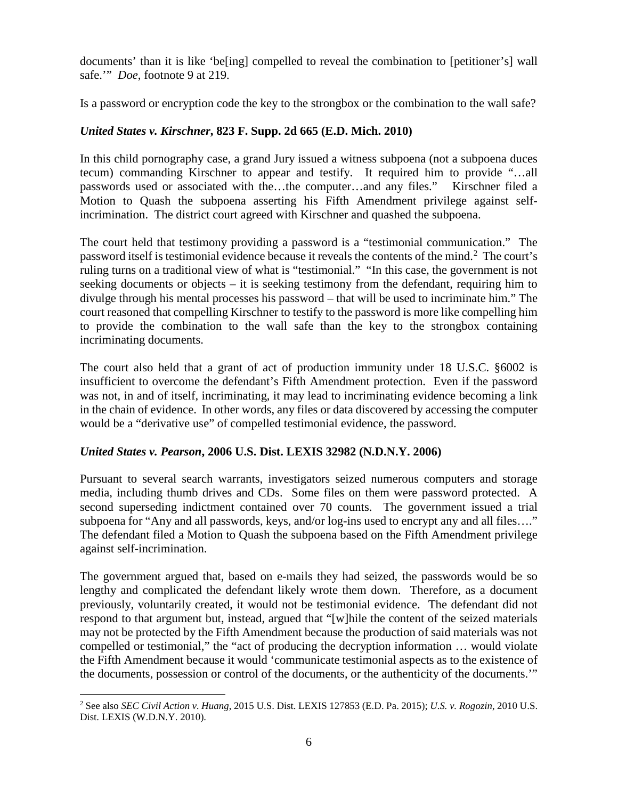documents' than it is like 'be[ing] compelled to reveal the combination to [petitioner's] wall safe.'" *Doe*, footnote 9 at 219.

Is a password or encryption code the key to the strongbox or the combination to the wall safe?

#### *United States v. Kirschner***, 823 F. Supp. 2d 665 (E.D. Mich. 2010)**

In this child pornography case, a grand Jury issued a witness subpoena (not a subpoena duces tecum) commanding Kirschner to appear and testify. It required him to provide "…all passwords used or associated with the…the computer…and any files." Kirschner filed a Motion to Quash the subpoena asserting his Fifth Amendment privilege against selfincrimination. The district court agreed with Kirschner and quashed the subpoena.

The court held that testimony providing a password is a "testimonial communication." The password itself is testimonial evidence because it reveals the contents of the mind.<sup>[2](#page-5-0)</sup> The court's ruling turns on a traditional view of what is "testimonial." "In this case, the government is not seeking documents or objects – it is seeking testimony from the defendant, requiring him to divulge through his mental processes his password – that will be used to incriminate him." The court reasoned that compelling Kirschner to testify to the password is more like compelling him to provide the combination to the wall safe than the key to the strongbox containing incriminating documents.

The court also held that a grant of act of production immunity under 18 U.S.C. §6002 is insufficient to overcome the defendant's Fifth Amendment protection. Even if the password was not, in and of itself, incriminating, it may lead to incriminating evidence becoming a link in the chain of evidence. In other words, any files or data discovered by accessing the computer would be a "derivative use" of compelled testimonial evidence, the password.

#### *United States v. Pearson***, 2006 U.S. Dist. LEXIS 32982 (N.D.N.Y. 2006)**

Pursuant to several search warrants, investigators seized numerous computers and storage media, including thumb drives and CDs. Some files on them were password protected. A second superseding indictment contained over 70 counts. The government issued a trial subpoena for "Any and all passwords, keys, and/or log-ins used to encrypt any and all files…." The defendant filed a Motion to Quash the subpoena based on the Fifth Amendment privilege against self-incrimination.

The government argued that, based on e-mails they had seized, the passwords would be so lengthy and complicated the defendant likely wrote them down. Therefore, as a document previously, voluntarily created, it would not be testimonial evidence. The defendant did not respond to that argument but, instead, argued that "[w]hile the content of the seized materials may not be protected by the Fifth Amendment because the production of said materials was not compelled or testimonial," the "act of producing the decryption information … would violate the Fifth Amendment because it would 'communicate testimonial aspects as to the existence of the documents, possession or control of the documents, or the authenticity of the documents.'"

<span id="page-5-0"></span> <sup>2</sup> See also *SEC Civil Action v. Huang*, 2015 U.S. Dist. LEXIS 127853 (E.D. Pa. 2015); *U.S. v. Rogozin*, 2010 U.S. Dist. LEXIS (W.D.N.Y. 2010).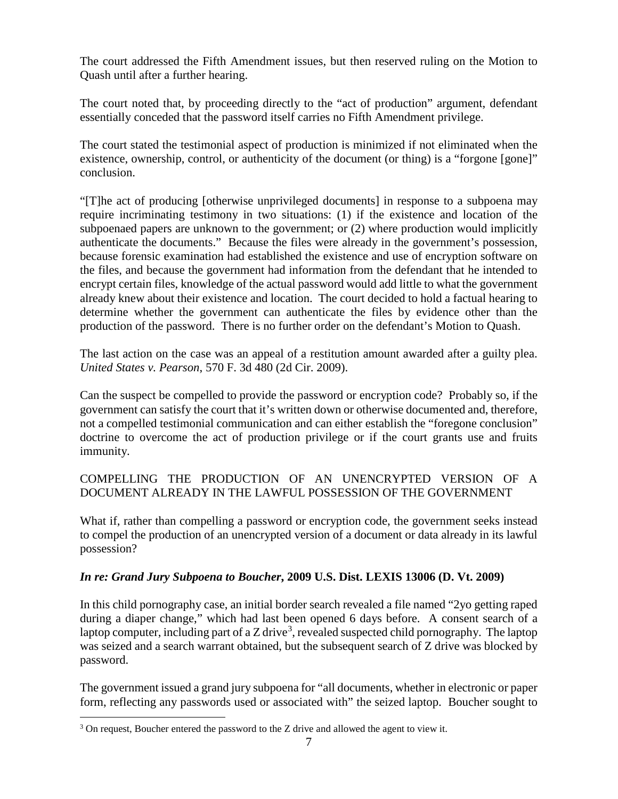The court addressed the Fifth Amendment issues, but then reserved ruling on the Motion to Quash until after a further hearing.

The court noted that, by proceeding directly to the "act of production" argument, defendant essentially conceded that the password itself carries no Fifth Amendment privilege.

The court stated the testimonial aspect of production is minimized if not eliminated when the existence, ownership, control, or authenticity of the document (or thing) is a "forgone [gone]" conclusion.

"[T]he act of producing [otherwise unprivileged documents] in response to a subpoena may require incriminating testimony in two situations: (1) if the existence and location of the subpoenaed papers are unknown to the government; or (2) where production would implicitly authenticate the documents." Because the files were already in the government's possession, because forensic examination had established the existence and use of encryption software on the files, and because the government had information from the defendant that he intended to encrypt certain files, knowledge of the actual password would add little to what the government already knew about their existence and location. The court decided to hold a factual hearing to determine whether the government can authenticate the files by evidence other than the production of the password. There is no further order on the defendant's Motion to Quash.

The last action on the case was an appeal of a restitution amount awarded after a guilty plea. *United States v. Pearson*, 570 F. 3d 480 (2d Cir. 2009).

Can the suspect be compelled to provide the password or encryption code? Probably so, if the government can satisfy the court that it's written down or otherwise documented and, therefore, not a compelled testimonial communication and can either establish the "foregone conclusion" doctrine to overcome the act of production privilege or if the court grants use and fruits immunity.

#### COMPELLING THE PRODUCTION OF AN UNENCRYPTED VERSION OF A DOCUMENT ALREADY IN THE LAWFUL POSSESSION OF THE GOVERNMENT

What if, rather than compelling a password or encryption code, the government seeks instead to compel the production of an unencrypted version of a document or data already in its lawful possession?

#### *In re: Grand Jury Subpoena to Boucher***, 2009 U.S. Dist. LEXIS 13006 (D. Vt. 2009)**

In this child pornography case, an initial border search revealed a file named "2yo getting raped during a diaper change," which had last been opened 6 days before. A consent search of a laptop computer, including part of a Z drive<sup>[3](#page-6-0)</sup>, revealed suspected child pornography. The laptop was seized and a search warrant obtained, but the subsequent search of Z drive was blocked by password.

The government issued a grand jury subpoena for "all documents, whether in electronic or paper form, reflecting any passwords used or associated with" the seized laptop. Boucher sought to

<span id="page-6-0"></span><sup>&</sup>lt;sup>3</sup> On request, Boucher entered the password to the Z drive and allowed the agent to view it.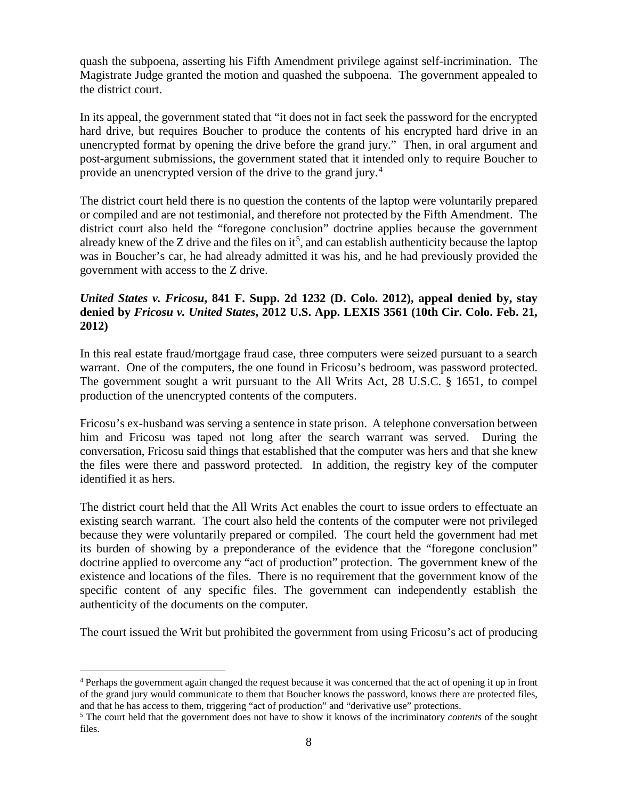quash the subpoena, asserting his Fifth Amendment privilege against self-incrimination. The Magistrate Judge granted the motion and quashed the subpoena. The government appealed to the district court.

In its appeal, the government stated that "it does not in fact seek the password for the encrypted hard drive, but requires Boucher to produce the contents of his encrypted hard drive in an unencrypted format by opening the drive before the grand jury." Then, in oral argument and post-argument submissions, the government stated that it intended only to require Boucher to provide an unencrypted version of the drive to the grand jury.<sup>[4](#page-7-0)</sup>

The district court held there is no question the contents of the laptop were voluntarily prepared or compiled and are not testimonial, and therefore not protected by the Fifth Amendment. The district court also held the "foregone conclusion" doctrine applies because the government already knew of the Z drive and the files on  $it^5$  $it^5$ , and can establish authenticity because the laptop was in Boucher's car, he had already admitted it was his, and he had previously provided the government with access to the Z drive.

#### *United States v. Fricosu***, 841 F. Supp. 2d 1232 (D. Colo. 2012), appeal denied by, stay denied by** *Fricosu v. United States***, 2012 U.S. App. LEXIS 3561 (10th Cir. Colo. Feb. 21, 2012)**

In this real estate fraud/mortgage fraud case, three computers were seized pursuant to a search warrant. One of the computers, the one found in Fricosu's bedroom, was password protected. The government sought a writ pursuant to the All Writs Act, 28 U.S.C. § 1651, to compel production of the unencrypted contents of the computers.

Fricosu's ex-husband was serving a sentence in state prison. A telephone conversation between him and Fricosu was taped not long after the search warrant was served. During the conversation, Fricosu said things that established that the computer was hers and that she knew the files were there and password protected. In addition, the registry key of the computer identified it as hers.

The district court held that the All Writs Act enables the court to issue orders to effectuate an existing search warrant. The court also held the contents of the computer were not privileged because they were voluntarily prepared or compiled. The court held the government had met its burden of showing by a preponderance of the evidence that the "foregone conclusion" doctrine applied to overcome any "act of production" protection. The government knew of the existence and locations of the files. There is no requirement that the government know of the specific content of any specific files. The government can independently establish the authenticity of the documents on the computer.

The court issued the Writ but prohibited the government from using Fricosu's act of producing

<span id="page-7-0"></span> <sup>4</sup> Perhaps the government again changed the request because it was concerned that the act of opening it up in front of the grand jury would communicate to them that Boucher knows the password, knows there are protected files, and that he has access to them, triggering "act of production" and "derivative use" protections.

<span id="page-7-1"></span><sup>5</sup> The court held that the government does not have to show it knows of the incriminatory *contents* of the sought files.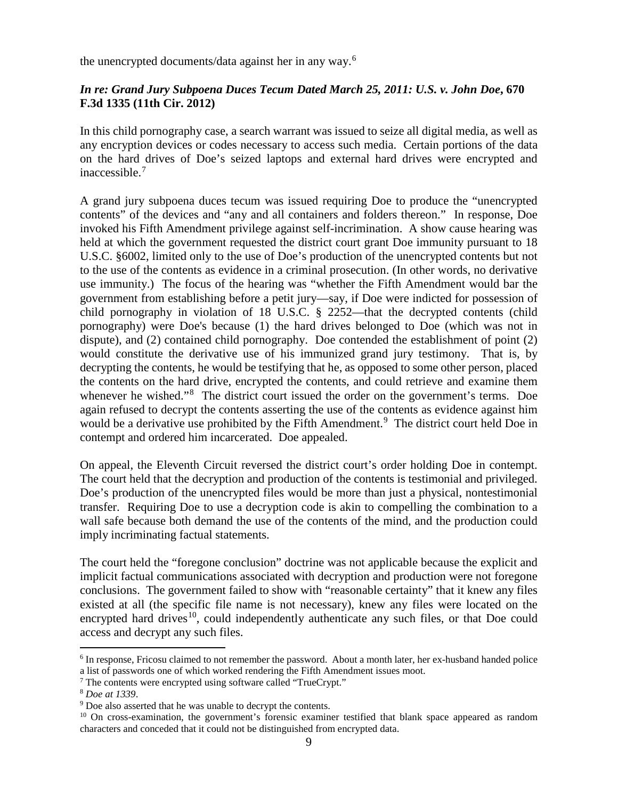the unencrypted documents/data against her in any way.[6](#page-8-0)

#### *In re: Grand Jury Subpoena Duces Tecum Dated March 25, 2011: U.S. v. John Doe***, 670 F.3d 1335 (11th Cir. 2012)**

In this child pornography case, a search warrant was issued to seize all digital media, as well as any encryption devices or codes necessary to access such media. Certain portions of the data on the hard drives of Doe's seized laptops and external hard drives were encrypted and inaccessible. [7](#page-8-1)

A grand jury subpoena duces tecum was issued requiring Doe to produce the "unencrypted contents" of the devices and "any and all containers and folders thereon." In response, Doe invoked his Fifth Amendment privilege against self-incrimination. A show cause hearing was held at which the government requested the district court grant Doe immunity pursuant to 18 U.S.C. §6002, limited only to the use of Doe's production of the unencrypted contents but not to the use of the contents as evidence in a criminal prosecution. (In other words, no derivative use immunity.) The focus of the hearing was "whether the Fifth Amendment would bar the government from establishing before a petit jury—say, if Doe were indicted for possession of child pornography in violation of 18 U.S.C. § 2252—that the decrypted contents (child pornography) were Doe's because (1) the hard drives belonged to Doe (which was not in dispute), and (2) contained child pornography. Doe contended the establishment of point (2) would constitute the derivative use of his immunized grand jury testimony. That is, by decrypting the contents, he would be testifying that he, as opposed to some other person, placed the contents on the hard drive, encrypted the contents, and could retrieve and examine them whenever he wished."<sup>[8](#page-8-2)</sup> The district court issued the order on the government's terms. Doe again refused to decrypt the contents asserting the use of the contents as evidence against him would be a derivative use prohibited by the Fifth Amendment.<sup>[9](#page-8-3)</sup> The district court held Doe in contempt and ordered him incarcerated. Doe appealed.

On appeal, the Eleventh Circuit reversed the district court's order holding Doe in contempt. The court held that the decryption and production of the contents is testimonial and privileged. Doe's production of the unencrypted files would be more than just a physical, nontestimonial transfer. Requiring Doe to use a decryption code is akin to compelling the combination to a wall safe because both demand the use of the contents of the mind, and the production could imply incriminating factual statements.

The court held the "foregone conclusion" doctrine was not applicable because the explicit and implicit factual communications associated with decryption and production were not foregone conclusions. The government failed to show with "reasonable certainty" that it knew any files existed at all (the specific file name is not necessary), knew any files were located on the encrypted hard drives<sup>10</sup>, could independently authenticate any such files, or that Doe could access and decrypt any such files.

<span id="page-8-0"></span> <sup>6</sup> In response, Fricosu claimed to not remember the password. About a month later, her ex-husband handed police a list of passwords one of which worked rendering the Fifth Amendment issues moot.

<span id="page-8-1"></span><sup>7</sup> The contents were encrypted using software called "TrueCrypt."

<span id="page-8-2"></span><sup>8</sup> *Doe at 1339*.

<span id="page-8-3"></span><sup>&</sup>lt;sup>9</sup> Doe also asserted that he was unable to decrypt the contents.

<span id="page-8-4"></span> $10$  On cross-examination, the government's forensic examiner testified that blank space appeared as random characters and conceded that it could not be distinguished from encrypted data.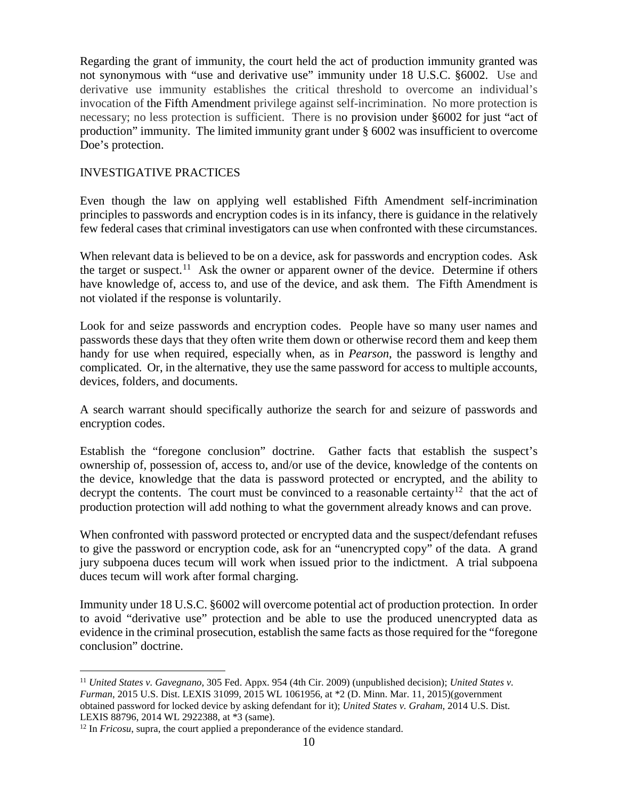Regarding the grant of immunity, the court held the act of production immunity granted was not synonymous with "use and derivative use" immunity under 18 U.S.C. §6002. Use and derivative use immunity establishes the critical threshold to overcome an individual's invocation of the Fifth Amendment privilege against self-incrimination. No more protection is necessary; no less protection is sufficient. There is no provision under §6002 for just "act of production" immunity. The limited immunity grant under § 6002 was insufficient to overcome Doe's protection.

#### INVESTIGATIVE PRACTICES

Even though the law on applying well established Fifth Amendment self-incrimination principles to passwords and encryption codes is in its infancy, there is guidance in the relatively few federal cases that criminal investigators can use when confronted with these circumstances.

When relevant data is believed to be on a device, ask for passwords and encryption codes. Ask the target or suspect.<sup>[11](#page-9-0)</sup> Ask the owner or apparent owner of the device. Determine if others have knowledge of, access to, and use of the device, and ask them. The Fifth Amendment is not violated if the response is voluntarily.

Look for and seize passwords and encryption codes. People have so many user names and passwords these days that they often write them down or otherwise record them and keep them handy for use when required, especially when, as in *Pearson*, the password is lengthy and complicated. Or, in the alternative, they use the same password for access to multiple accounts, devices, folders, and documents.

A search warrant should specifically authorize the search for and seizure of passwords and encryption codes.

Establish the "foregone conclusion" doctrine. Gather facts that establish the suspect's ownership of, possession of, access to, and/or use of the device, knowledge of the contents on the device, knowledge that the data is password protected or encrypted, and the ability to decrypt the contents. The court must be convinced to a reasonable certainty<sup>12</sup> that the act of production protection will add nothing to what the government already knows and can prove.

When confronted with password protected or encrypted data and the suspect/defendant refuses to give the password or encryption code, ask for an "unencrypted copy" of the data. A grand jury subpoena duces tecum will work when issued prior to the indictment. A trial subpoena duces tecum will work after formal charging.

Immunity under 18 U.S.C. §6002 will overcome potential act of production protection. In order to avoid "derivative use" protection and be able to use the produced unencrypted data as evidence in the criminal prosecution, establish the same facts as those required for the "foregone conclusion" doctrine.

<span id="page-9-0"></span> <sup>11</sup> *United States v. Gavegnano*, 305 Fed. Appx. 954 (4th Cir. 2009) (unpublished decision); *United States v. Furman*, 2015 U.S. Dist. LEXIS 31099, 2015 WL 1061956, at \*2 (D. Minn. Mar. 11, 2015)(government obtained password for locked device by asking defendant for it); *United States v. Graham*, 2014 U.S. Dist. LEXIS 88796, 2014 WL 2922388, at \*3 (same).

<span id="page-9-1"></span><sup>&</sup>lt;sup>12</sup> In *Fricosu*, supra, the court applied a preponderance of the evidence standard.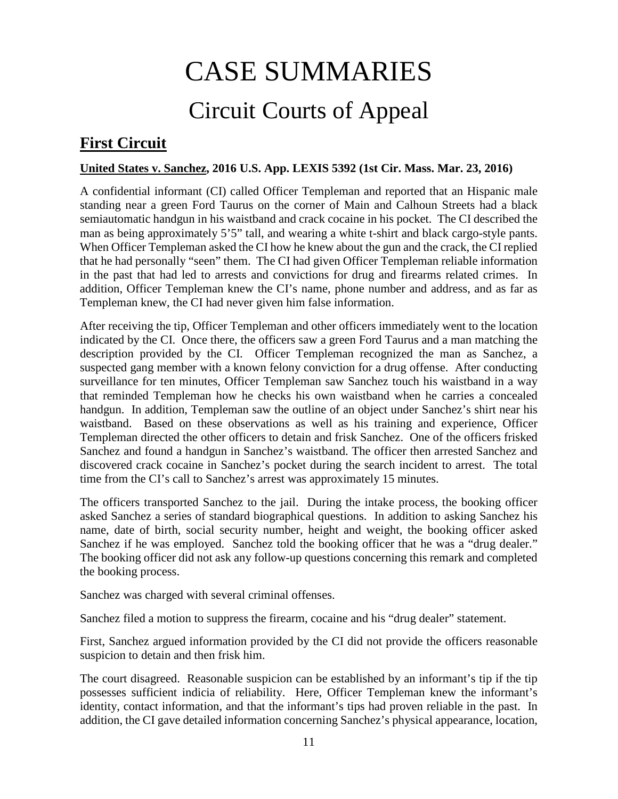# CASE SUMMARIES Circuit Courts of Appeal

# <span id="page-10-1"></span><span id="page-10-0"></span>**First Circuit**

#### <span id="page-10-2"></span>**United States v. Sanchez, 2016 U.S. App. LEXIS 5392 (1st Cir. Mass. Mar. 23, 2016)**

A confidential informant (CI) called Officer Templeman and reported that an Hispanic male standing near a green Ford Taurus on the corner of Main and Calhoun Streets had a black semiautomatic handgun in his waistband and crack cocaine in his pocket. The CI described the man as being approximately 5'5" tall, and wearing a white t-shirt and black cargo-style pants. When Officer Templeman asked the CI how he knew about the gun and the crack, the CI replied that he had personally "seen" them. The CI had given Officer Templeman reliable information in the past that had led to arrests and convictions for drug and firearms related crimes. In addition, Officer Templeman knew the CI's name, phone number and address, and as far as Templeman knew, the CI had never given him false information.

After receiving the tip, Officer Templeman and other officers immediately went to the location indicated by the CI. Once there, the officers saw a green Ford Taurus and a man matching the description provided by the CI. Officer Templeman recognized the man as Sanchez, a suspected gang member with a known felony conviction for a drug offense. After conducting surveillance for ten minutes, Officer Templeman saw Sanchez touch his waistband in a way that reminded Templeman how he checks his own waistband when he carries a concealed handgun. In addition, Templeman saw the outline of an object under Sanchez's shirt near his waistband. Based on these observations as well as his training and experience, Officer Templeman directed the other officers to detain and frisk Sanchez. One of the officers frisked Sanchez and found a handgun in Sanchez's waistband. The officer then arrested Sanchez and discovered crack cocaine in Sanchez's pocket during the search incident to arrest. The total time from the CI's call to Sanchez's arrest was approximately 15 minutes.

The officers transported Sanchez to the jail. During the intake process, the booking officer asked Sanchez a series of standard biographical questions. In addition to asking Sanchez his name, date of birth, social security number, height and weight, the booking officer asked Sanchez if he was employed. Sanchez told the booking officer that he was a "drug dealer." The booking officer did not ask any follow-up questions concerning this remark and completed the booking process.

Sanchez was charged with several criminal offenses.

Sanchez filed a motion to suppress the firearm, cocaine and his "drug dealer" statement.

First, Sanchez argued information provided by the CI did not provide the officers reasonable suspicion to detain and then frisk him.

The court disagreed. Reasonable suspicion can be established by an informant's tip if the tip possesses sufficient indicia of reliability. Here, Officer Templeman knew the informant's identity, contact information, and that the informant's tips had proven reliable in the past. In addition, the CI gave detailed information concerning Sanchez's physical appearance, location,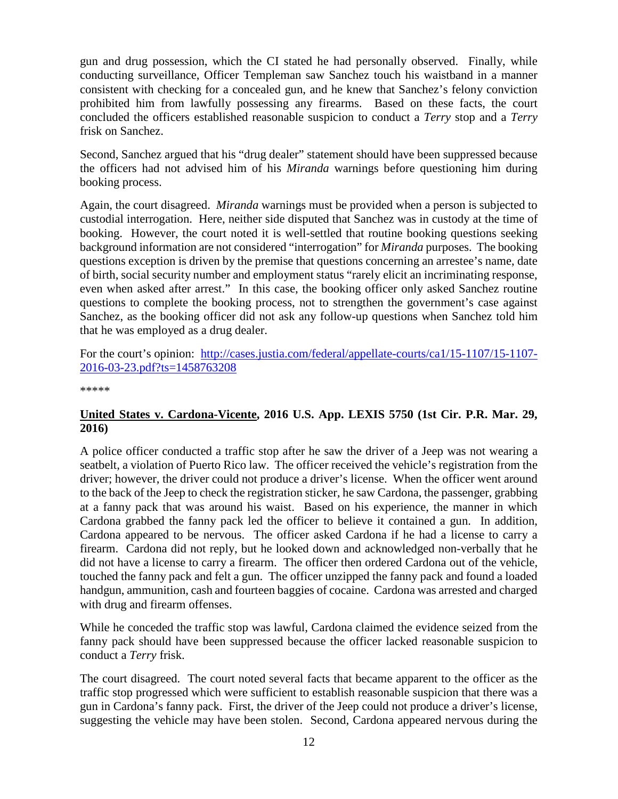gun and drug possession, which the CI stated he had personally observed. Finally, while conducting surveillance, Officer Templeman saw Sanchez touch his waistband in a manner consistent with checking for a concealed gun, and he knew that Sanchez's felony conviction prohibited him from lawfully possessing any firearms. Based on these facts, the court concluded the officers established reasonable suspicion to conduct a *Terry* stop and a *Terry* frisk on Sanchez.

Second, Sanchez argued that his "drug dealer" statement should have been suppressed because the officers had not advised him of his *Miranda* warnings before questioning him during booking process.

Again, the court disagreed. *Miranda* warnings must be provided when a person is subjected to custodial interrogation. Here, neither side disputed that Sanchez was in custody at the time of booking. However, the court noted it is well-settled that routine booking questions seeking background information are not considered "interrogation" for *Miranda* purposes. The booking questions exception is driven by the premise that questions concerning an arrestee's name, date of birth, social security number and employment status "rarely elicit an incriminating response, even when asked after arrest." In this case, the booking officer only asked Sanchez routine questions to complete the booking process, not to strengthen the government's case against Sanchez, as the booking officer did not ask any follow-up questions when Sanchez told him that he was employed as a drug dealer.

For the court's opinion: [http://cases.justia.com/federal/appellate-courts/ca1/15-1107/15-1107-](http://cases.justia.com/federal/appellate-courts/ca1/15-1107/15-1107-2016-03-23.pdf?ts=1458763208) [2016-03-23.pdf?ts=1458763208](http://cases.justia.com/federal/appellate-courts/ca1/15-1107/15-1107-2016-03-23.pdf?ts=1458763208)

\*\*\*\*\*

#### <span id="page-11-0"></span>**United States v. Cardona-Vicente, 2016 U.S. App. LEXIS 5750 (1st Cir. P.R. Mar. 29, 2016)**

A police officer conducted a traffic stop after he saw the driver of a Jeep was not wearing a seatbelt, a violation of Puerto Rico law. The officer received the vehicle's registration from the driver; however, the driver could not produce a driver's license. When the officer went around to the back of the Jeep to check the registration sticker, he saw Cardona, the passenger, grabbing at a fanny pack that was around his waist. Based on his experience, the manner in which Cardona grabbed the fanny pack led the officer to believe it contained a gun. In addition, Cardona appeared to be nervous. The officer asked Cardona if he had a license to carry a firearm. Cardona did not reply, but he looked down and acknowledged non-verbally that he did not have a license to carry a firearm. The officer then ordered Cardona out of the vehicle, touched the fanny pack and felt a gun. The officer unzipped the fanny pack and found a loaded handgun, ammunition, cash and fourteen baggies of cocaine. Cardona was arrested and charged with drug and firearm offenses.

While he conceded the traffic stop was lawful, Cardona claimed the evidence seized from the fanny pack should have been suppressed because the officer lacked reasonable suspicion to conduct a *Terry* frisk.

The court disagreed. The court noted several facts that became apparent to the officer as the traffic stop progressed which were sufficient to establish reasonable suspicion that there was a gun in Cardona's fanny pack. First, the driver of the Jeep could not produce a driver's license, suggesting the vehicle may have been stolen. Second, Cardona appeared nervous during the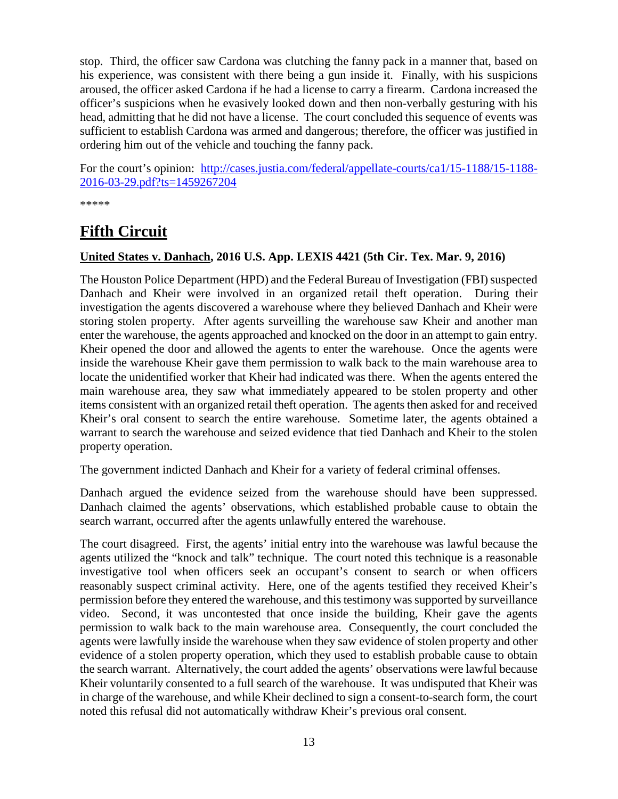stop. Third, the officer saw Cardona was clutching the fanny pack in a manner that, based on his experience, was consistent with there being a gun inside it. Finally, with his suspicions aroused, the officer asked Cardona if he had a license to carry a firearm. Cardona increased the officer's suspicions when he evasively looked down and then non-verbally gesturing with his head, admitting that he did not have a license. The court concluded this sequence of events was sufficient to establish Cardona was armed and dangerous; therefore, the officer was justified in ordering him out of the vehicle and touching the fanny pack.

For the court's opinion: [http://cases.justia.com/federal/appellate-courts/ca1/15-1188/15-1188-](http://cases.justia.com/federal/appellate-courts/ca1/15-1188/15-1188-2016-03-29.pdf?ts=1459267204) [2016-03-29.pdf?ts=1459267204](http://cases.justia.com/federal/appellate-courts/ca1/15-1188/15-1188-2016-03-29.pdf?ts=1459267204)

\*\*\*\*\*

# <span id="page-12-0"></span>**Fifth Circuit**

#### <span id="page-12-1"></span>**United States v. Danhach, 2016 U.S. App. LEXIS 4421 (5th Cir. Tex. Mar. 9, 2016)**

The Houston Police Department (HPD) and the Federal Bureau of Investigation (FBI) suspected Danhach and Kheir were involved in an organized retail theft operation. During their investigation the agents discovered a warehouse where they believed Danhach and Kheir were storing stolen property. After agents surveilling the warehouse saw Kheir and another man enter the warehouse, the agents approached and knocked on the door in an attempt to gain entry. Kheir opened the door and allowed the agents to enter the warehouse. Once the agents were inside the warehouse Kheir gave them permission to walk back to the main warehouse area to locate the unidentified worker that Kheir had indicated was there. When the agents entered the main warehouse area, they saw what immediately appeared to be stolen property and other items consistent with an organized retail theft operation. The agents then asked for and received Kheir's oral consent to search the entire warehouse. Sometime later, the agents obtained a warrant to search the warehouse and seized evidence that tied Danhach and Kheir to the stolen property operation.

The government indicted Danhach and Kheir for a variety of federal criminal offenses.

Danhach argued the evidence seized from the warehouse should have been suppressed. Danhach claimed the agents' observations, which established probable cause to obtain the search warrant, occurred after the agents unlawfully entered the warehouse.

The court disagreed. First, the agents' initial entry into the warehouse was lawful because the agents utilized the "knock and talk" technique. The court noted this technique is a reasonable investigative tool when officers seek an occupant's consent to search or when officers reasonably suspect criminal activity. Here, one of the agents testified they received Kheir's permission before they entered the warehouse, and this testimony was supported by surveillance video. Second, it was uncontested that once inside the building, Kheir gave the agents permission to walk back to the main warehouse area. Consequently, the court concluded the agents were lawfully inside the warehouse when they saw evidence of stolen property and other evidence of a stolen property operation, which they used to establish probable cause to obtain the search warrant. Alternatively, the court added the agents' observations were lawful because Kheir voluntarily consented to a full search of the warehouse. It was undisputed that Kheir was in charge of the warehouse, and while Kheir declined to sign a consent-to-search form, the court noted this refusal did not automatically withdraw Kheir's previous oral consent.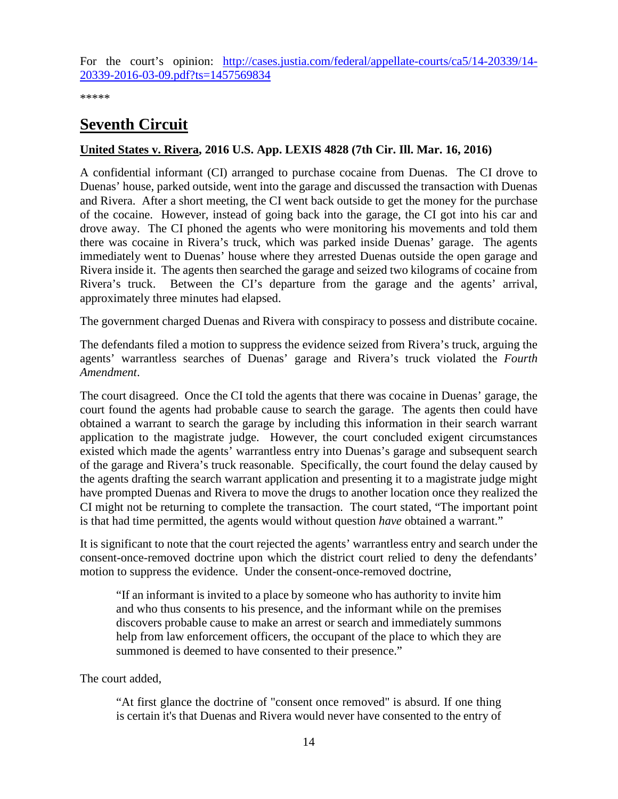For the court's opinion: [http://cases.justia.com/federal/appellate-courts/ca5/14-20339/14-](http://cases.justia.com/federal/appellate-courts/ca5/14-20339/14-20339-2016-03-09.pdf?ts=1457569834) [20339-2016-03-09.pdf?ts=1457569834](http://cases.justia.com/federal/appellate-courts/ca5/14-20339/14-20339-2016-03-09.pdf?ts=1457569834)

\*\*\*\*\*

# <span id="page-13-0"></span>**Seventh Circuit**

#### <span id="page-13-1"></span>**United States v. Rivera, 2016 U.S. App. LEXIS 4828 (7th Cir. Ill. Mar. 16, 2016)**

A confidential informant (CI) arranged to purchase cocaine from Duenas. The CI drove to Duenas' house, parked outside, went into the garage and discussed the transaction with Duenas and Rivera. After a short meeting, the CI went back outside to get the money for the purchase of the cocaine. However, instead of going back into the garage, the CI got into his car and drove away. The CI phoned the agents who were monitoring his movements and told them there was cocaine in Rivera's truck, which was parked inside Duenas' garage. The agents immediately went to Duenas' house where they arrested Duenas outside the open garage and Rivera inside it. The agents then searched the garage and seized two kilograms of cocaine from Rivera's truck. Between the CI's departure from the garage and the agents' arrival, approximately three minutes had elapsed.

The government charged Duenas and Rivera with conspiracy to possess and distribute cocaine.

The defendants filed a motion to suppress the evidence seized from Rivera's truck, arguing the agents' warrantless searches of Duenas' garage and Rivera's truck violated the *Fourth Amendment*.

The court disagreed. Once the CI told the agents that there was cocaine in Duenas' garage, the court found the agents had probable cause to search the garage. The agents then could have obtained a warrant to search the garage by including this information in their search warrant application to the magistrate judge. However, the court concluded exigent circumstances existed which made the agents' warrantless entry into Duenas's garage and subsequent search of the garage and Rivera's truck reasonable. Specifically, the court found the delay caused by the agents drafting the search warrant application and presenting it to a magistrate judge might have prompted Duenas and Rivera to move the drugs to another location once they realized the CI might not be returning to complete the transaction. The court stated, "The important point is that had time permitted, the agents would without question *have* obtained a warrant."

It is significant to note that the court rejected the agents' warrantless entry and search under the consent-once-removed doctrine upon which the district court relied to deny the defendants' motion to suppress the evidence. Under the consent-once-removed doctrine,

"If an informant is invited to a place by someone who has authority to invite him and who thus consents to his presence, and the informant while on the premises discovers probable cause to make an arrest or search and immediately summons help from law enforcement officers, the occupant of the place to which they are summoned is deemed to have consented to their presence."

The court added,

"At first glance the doctrine of "consent once removed" is absurd. If one thing is certain it's that Duenas and Rivera would never have consented to the entry of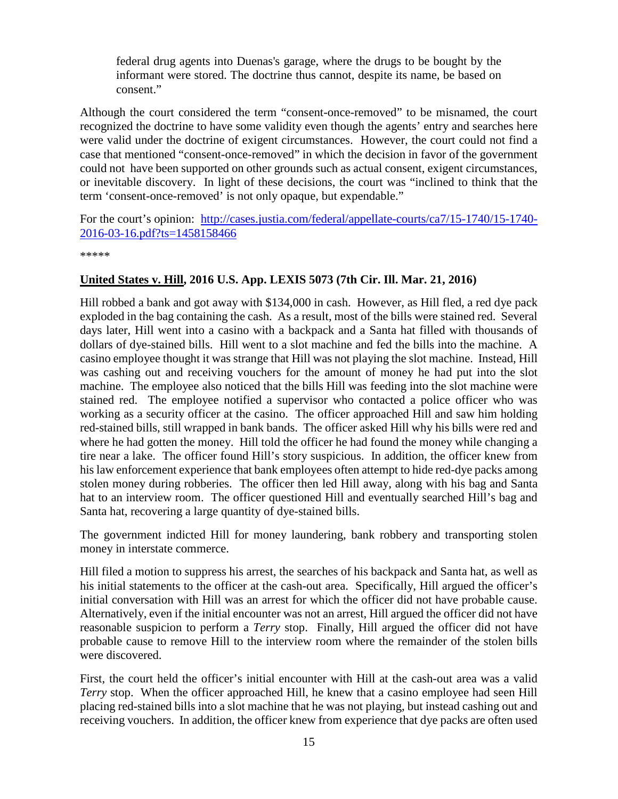federal drug agents into Duenas's garage, where the drugs to be bought by the informant were stored. The doctrine thus cannot, despite its name, be based on consent."

Although the court considered the term "consent-once-removed" to be misnamed, the court recognized the doctrine to have some validity even though the agents' entry and searches here were valid under the doctrine of exigent circumstances. However, the court could not find a case that mentioned "consent-once-removed" in which the decision in favor of the government could not have been supported on other grounds such as actual consent, exigent circumstances, or inevitable discovery. In light of these decisions, the court was "inclined to think that the term 'consent-once-removed' is not only opaque, but expendable."

For the court's opinion: [http://cases.justia.com/federal/appellate-courts/ca7/15-1740/15-1740-](http://cases.justia.com/federal/appellate-courts/ca7/15-1740/15-1740-2016-03-16.pdf?ts=1458158466) [2016-03-16.pdf?ts=1458158466](http://cases.justia.com/federal/appellate-courts/ca7/15-1740/15-1740-2016-03-16.pdf?ts=1458158466)

\*\*\*\*\*

#### <span id="page-14-0"></span>**United States v. Hill, 2016 U.S. App. LEXIS 5073 (7th Cir. Ill. Mar. 21, 2016)**

Hill robbed a bank and got away with \$134,000 in cash. However, as Hill fled, a red dye pack exploded in the bag containing the cash. As a result, most of the bills were stained red. Several days later, Hill went into a casino with a backpack and a Santa hat filled with thousands of dollars of dye-stained bills. Hill went to a slot machine and fed the bills into the machine. A casino employee thought it was strange that Hill was not playing the slot machine. Instead, Hill was cashing out and receiving vouchers for the amount of money he had put into the slot machine. The employee also noticed that the bills Hill was feeding into the slot machine were stained red. The employee notified a supervisor who contacted a police officer who was working as a security officer at the casino. The officer approached Hill and saw him holding red-stained bills, still wrapped in bank bands. The officer asked Hill why his bills were red and where he had gotten the money. Hill told the officer he had found the money while changing a tire near a lake. The officer found Hill's story suspicious. In addition, the officer knew from his law enforcement experience that bank employees often attempt to hide red-dye packs among stolen money during robberies. The officer then led Hill away, along with his bag and Santa hat to an interview room. The officer questioned Hill and eventually searched Hill's bag and Santa hat, recovering a large quantity of dye-stained bills.

The government indicted Hill for money laundering, bank robbery and transporting stolen money in interstate commerce.

Hill filed a motion to suppress his arrest, the searches of his backpack and Santa hat, as well as his initial statements to the officer at the cash-out area. Specifically, Hill argued the officer's initial conversation with Hill was an arrest for which the officer did not have probable cause. Alternatively, even if the initial encounter was not an arrest, Hill argued the officer did not have reasonable suspicion to perform a *Terry* stop. Finally, Hill argued the officer did not have probable cause to remove Hill to the interview room where the remainder of the stolen bills were discovered.

First, the court held the officer's initial encounter with Hill at the cash-out area was a valid *Terry* stop. When the officer approached Hill, he knew that a casino employee had seen Hill placing red-stained bills into a slot machine that he was not playing, but instead cashing out and receiving vouchers. In addition, the officer knew from experience that dye packs are often used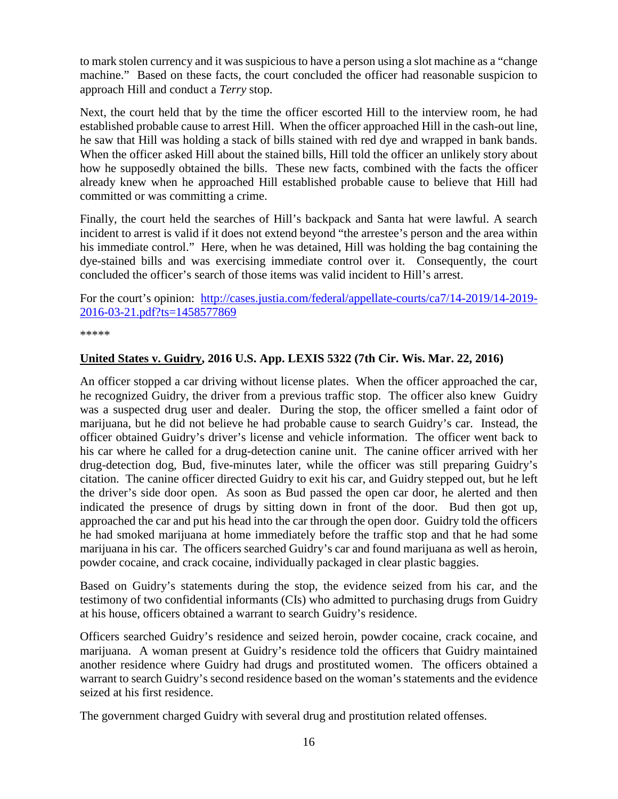to mark stolen currency and it was suspicious to have a person using a slot machine as a "change machine." Based on these facts, the court concluded the officer had reasonable suspicion to approach Hill and conduct a *Terry* stop.

Next, the court held that by the time the officer escorted Hill to the interview room, he had established probable cause to arrest Hill. When the officer approached Hill in the cash-out line, he saw that Hill was holding a stack of bills stained with red dye and wrapped in bank bands. When the officer asked Hill about the stained bills, Hill told the officer an unlikely story about how he supposedly obtained the bills. These new facts, combined with the facts the officer already knew when he approached Hill established probable cause to believe that Hill had committed or was committing a crime.

Finally, the court held the searches of Hill's backpack and Santa hat were lawful. A search incident to arrest is valid if it does not extend beyond "the arrestee's person and the area within his immediate control." Here, when he was detained, Hill was holding the bag containing the dye-stained bills and was exercising immediate control over it. Consequently, the court concluded the officer's search of those items was valid incident to Hill's arrest.

For the court's opinion: [http://cases.justia.com/federal/appellate-courts/ca7/14-2019/14-2019-](http://cases.justia.com/federal/appellate-courts/ca7/14-2019/14-2019-2016-03-21.pdf?ts=1458577869) [2016-03-21.pdf?ts=1458577869](http://cases.justia.com/federal/appellate-courts/ca7/14-2019/14-2019-2016-03-21.pdf?ts=1458577869)

\*\*\*\*\*

#### <span id="page-15-0"></span>**United States v. Guidry, 2016 U.S. App. LEXIS 5322 (7th Cir. Wis. Mar. 22, 2016)**

An officer stopped a car driving without license plates. When the officer approached the car, he recognized Guidry, the driver from a previous traffic stop. The officer also knew Guidry was a suspected drug user and dealer. During the stop, the officer smelled a faint odor of marijuana, but he did not believe he had probable cause to search Guidry's car. Instead, the officer obtained Guidry's driver's license and vehicle information. The officer went back to his car where he called for a drug-detection canine unit. The canine officer arrived with her drug-detection dog, Bud, five-minutes later, while the officer was still preparing Guidry's citation. The canine officer directed Guidry to exit his car, and Guidry stepped out, but he left the driver's side door open. As soon as Bud passed the open car door, he alerted and then indicated the presence of drugs by sitting down in front of the door. Bud then got up, approached the car and put his head into the car through the open door. Guidry told the officers he had smoked marijuana at home immediately before the traffic stop and that he had some marijuana in his car. The officers searched Guidry's car and found marijuana as well as heroin, powder cocaine, and crack cocaine, individually packaged in clear plastic baggies.

Based on Guidry's statements during the stop, the evidence seized from his car, and the testimony of two confidential informants (CIs) who admitted to purchasing drugs from Guidry at his house, officers obtained a warrant to search Guidry's residence.

Officers searched Guidry's residence and seized heroin, powder cocaine, crack cocaine, and marijuana. A woman present at Guidry's residence told the officers that Guidry maintained another residence where Guidry had drugs and prostituted women. The officers obtained a warrant to search Guidry's second residence based on the woman's statements and the evidence seized at his first residence.

The government charged Guidry with several drug and prostitution related offenses.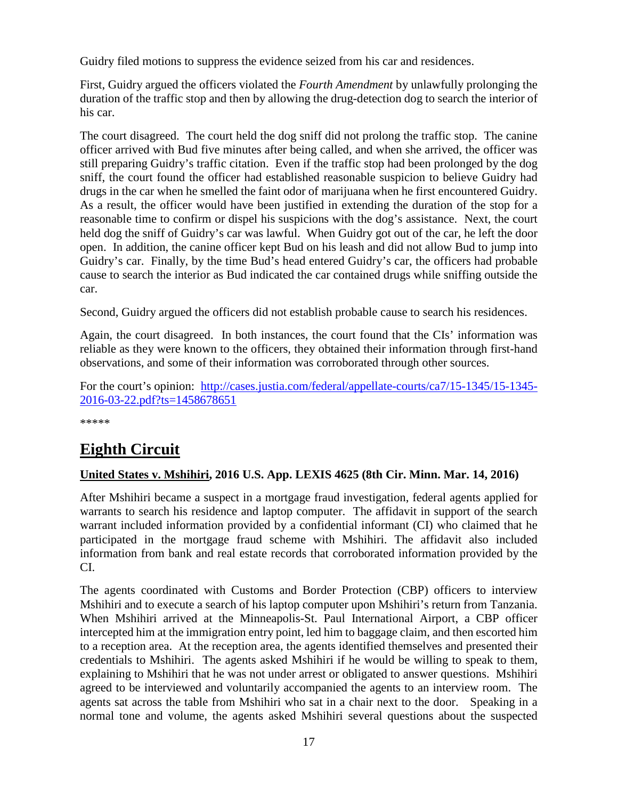Guidry filed motions to suppress the evidence seized from his car and residences.

First, Guidry argued the officers violated the *Fourth Amendment* by unlawfully prolonging the duration of the traffic stop and then by allowing the drug-detection dog to search the interior of his car.

The court disagreed. The court held the dog sniff did not prolong the traffic stop. The canine officer arrived with Bud five minutes after being called, and when she arrived, the officer was still preparing Guidry's traffic citation. Even if the traffic stop had been prolonged by the dog sniff, the court found the officer had established reasonable suspicion to believe Guidry had drugs in the car when he smelled the faint odor of marijuana when he first encountered Guidry. As a result, the officer would have been justified in extending the duration of the stop for a reasonable time to confirm or dispel his suspicions with the dog's assistance. Next, the court held dog the sniff of Guidry's car was lawful. When Guidry got out of the car, he left the door open. In addition, the canine officer kept Bud on his leash and did not allow Bud to jump into Guidry's car. Finally, by the time Bud's head entered Guidry's car, the officers had probable cause to search the interior as Bud indicated the car contained drugs while sniffing outside the car.

Second, Guidry argued the officers did not establish probable cause to search his residences.

Again, the court disagreed. In both instances, the court found that the CIs' information was reliable as they were known to the officers, they obtained their information through first-hand observations, and some of their information was corroborated through other sources.

For the court's opinion: [http://cases.justia.com/federal/appellate-courts/ca7/15-1345/15-1345-](http://cases.justia.com/federal/appellate-courts/ca7/15-1345/15-1345-2016-03-22.pdf?ts=1458678651) [2016-03-22.pdf?ts=1458678651](http://cases.justia.com/federal/appellate-courts/ca7/15-1345/15-1345-2016-03-22.pdf?ts=1458678651)

\*\*\*\*\*

# <span id="page-16-0"></span>**Eighth Circuit**

#### <span id="page-16-1"></span>**United States v. Mshihiri, 2016 U.S. App. LEXIS 4625 (8th Cir. Minn. Mar. 14, 2016)**

After Mshihiri became a suspect in a mortgage fraud investigation, federal agents applied for warrants to search his residence and laptop computer. The affidavit in support of the search warrant included information provided by a confidential informant (CI) who claimed that he participated in the mortgage fraud scheme with Mshihiri. The affidavit also included information from bank and real estate records that corroborated information provided by the CI.

The agents coordinated with Customs and Border Protection (CBP) officers to interview Mshihiri and to execute a search of his laptop computer upon Mshihiri's return from Tanzania. When Mshihiri arrived at the Minneapolis-St. Paul International Airport, a CBP officer intercepted him at the immigration entry point, led him to baggage claim, and then escorted him to a reception area. At the reception area, the agents identified themselves and presented their credentials to Mshihiri. The agents asked Mshihiri if he would be willing to speak to them, explaining to Mshihiri that he was not under arrest or obligated to answer questions. Mshihiri agreed to be interviewed and voluntarily accompanied the agents to an interview room. The agents sat across the table from Mshihiri who sat in a chair next to the door. Speaking in a normal tone and volume, the agents asked Mshihiri several questions about the suspected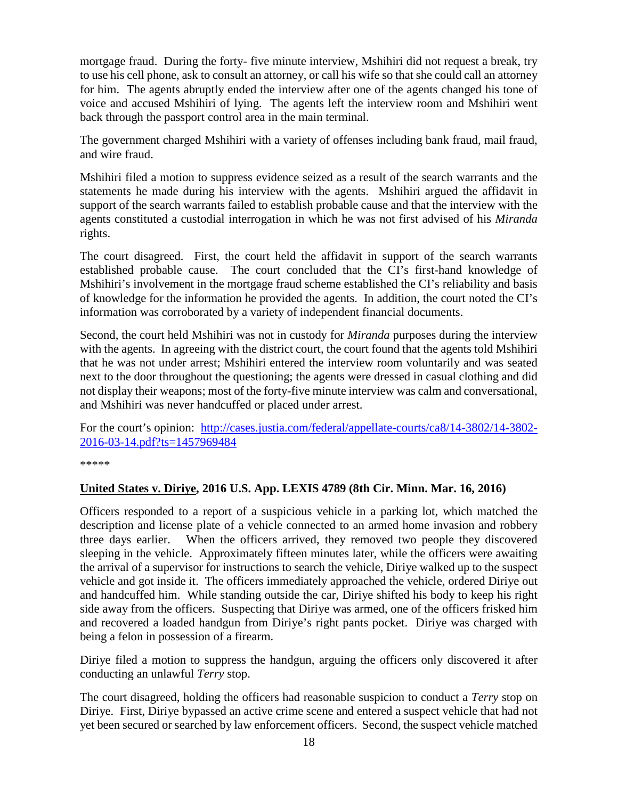mortgage fraud. During the forty- five minute interview, Mshihiri did not request a break, try to use his cell phone, ask to consult an attorney, or call his wife so that she could call an attorney for him. The agents abruptly ended the interview after one of the agents changed his tone of voice and accused Mshihiri of lying. The agents left the interview room and Mshihiri went back through the passport control area in the main terminal.

The government charged Mshihiri with a variety of offenses including bank fraud, mail fraud, and wire fraud.

Mshihiri filed a motion to suppress evidence seized as a result of the search warrants and the statements he made during his interview with the agents. Mshihiri argued the affidavit in support of the search warrants failed to establish probable cause and that the interview with the agents constituted a custodial interrogation in which he was not first advised of his *Miranda* rights.

The court disagreed. First, the court held the affidavit in support of the search warrants established probable cause. The court concluded that the CI's first-hand knowledge of Mshihiri's involvement in the mortgage fraud scheme established the CI's reliability and basis of knowledge for the information he provided the agents. In addition, the court noted the CI's information was corroborated by a variety of independent financial documents.

Second, the court held Mshihiri was not in custody for *Miranda* purposes during the interview with the agents. In agreeing with the district court, the court found that the agents told Mshihiri that he was not under arrest; Mshihiri entered the interview room voluntarily and was seated next to the door throughout the questioning; the agents were dressed in casual clothing and did not display their weapons; most of the forty-five minute interview was calm and conversational, and Mshihiri was never handcuffed or placed under arrest.

For the court's opinion: [http://cases.justia.com/federal/appellate-courts/ca8/14-3802/14-3802-](http://cases.justia.com/federal/appellate-courts/ca8/14-3802/14-3802-2016-03-14.pdf?ts=1457969484) [2016-03-14.pdf?ts=1457969484](http://cases.justia.com/federal/appellate-courts/ca8/14-3802/14-3802-2016-03-14.pdf?ts=1457969484)

\*\*\*\*\*

#### <span id="page-17-0"></span>**United States v. Diriye, 2016 U.S. App. LEXIS 4789 (8th Cir. Minn. Mar. 16, 2016)**

Officers responded to a report of a suspicious vehicle in a parking lot, which matched the description and license plate of a vehicle connected to an armed home invasion and robbery three days earlier. When the officers arrived, they removed two people they discovered sleeping in the vehicle. Approximately fifteen minutes later, while the officers were awaiting the arrival of a supervisor for instructions to search the vehicle, Diriye walked up to the suspect vehicle and got inside it. The officers immediately approached the vehicle, ordered Diriye out and handcuffed him. While standing outside the car, Diriye shifted his body to keep his right side away from the officers. Suspecting that Diriye was armed, one of the officers frisked him and recovered a loaded handgun from Diriye's right pants pocket. Diriye was charged with being a felon in possession of a firearm.

Diriye filed a motion to suppress the handgun, arguing the officers only discovered it after conducting an unlawful *Terry* stop.

The court disagreed, holding the officers had reasonable suspicion to conduct a *Terry* stop on Diriye. First, Diriye bypassed an active crime scene and entered a suspect vehicle that had not yet been secured or searched by law enforcement officers. Second, the suspect vehicle matched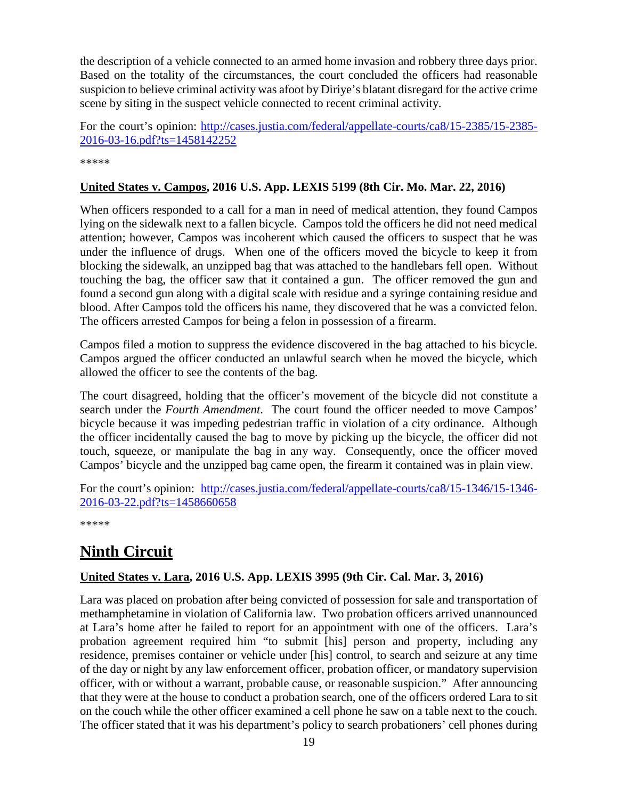the description of a vehicle connected to an armed home invasion and robbery three days prior. Based on the totality of the circumstances, the court concluded the officers had reasonable suspicion to believe criminal activity was afoot by Diriye's blatant disregard for the active crime scene by siting in the suspect vehicle connected to recent criminal activity.

For the court's opinion: [http://cases.justia.com/federal/appellate-courts/ca8/15-2385/15-2385-](http://cases.justia.com/federal/appellate-courts/ca8/15-2385/15-2385-2016-03-16.pdf?ts=1458142252) [2016-03-16.pdf?ts=1458142252](http://cases.justia.com/federal/appellate-courts/ca8/15-2385/15-2385-2016-03-16.pdf?ts=1458142252) 

\*\*\*\*\*

#### <span id="page-18-0"></span>**United States v. Campos, 2016 U.S. App. LEXIS 5199 (8th Cir. Mo. Mar. 22, 2016)**

When officers responded to a call for a man in need of medical attention, they found Campos lying on the sidewalk next to a fallen bicycle. Campos told the officers he did not need medical attention; however, Campos was incoherent which caused the officers to suspect that he was under the influence of drugs. When one of the officers moved the bicycle to keep it from blocking the sidewalk, an unzipped bag that was attached to the handlebars fell open. Without touching the bag, the officer saw that it contained a gun. The officer removed the gun and found a second gun along with a digital scale with residue and a syringe containing residue and blood. After Campos told the officers his name, they discovered that he was a convicted felon. The officers arrested Campos for being a felon in possession of a firearm.

Campos filed a motion to suppress the evidence discovered in the bag attached to his bicycle. Campos argued the officer conducted an unlawful search when he moved the bicycle, which allowed the officer to see the contents of the bag.

The court disagreed, holding that the officer's movement of the bicycle did not constitute a search under the *Fourth Amendment*. The court found the officer needed to move Campos' bicycle because it was impeding pedestrian traffic in violation of a city ordinance. Although the officer incidentally caused the bag to move by picking up the bicycle, the officer did not touch, squeeze, or manipulate the bag in any way. Consequently, once the officer moved Campos' bicycle and the unzipped bag came open, the firearm it contained was in plain view.

For the court's opinion: [http://cases.justia.com/federal/appellate-courts/ca8/15-1346/15-1346-](http://cases.justia.com/federal/appellate-courts/ca8/15-1346/15-1346-2016-03-22.pdf?ts=1458660658) [2016-03-22.pdf?ts=1458660658](http://cases.justia.com/federal/appellate-courts/ca8/15-1346/15-1346-2016-03-22.pdf?ts=1458660658)

\*\*\*\*\*

# <span id="page-18-1"></span>**Ninth Circuit**

#### <span id="page-18-2"></span>**United States v. Lara, 2016 U.S. App. LEXIS 3995 (9th Cir. Cal. Mar. 3, 2016)**

Lara was placed on probation after being convicted of possession for sale and transportation of methamphetamine in violation of California law. Two probation officers arrived unannounced at Lara's home after he failed to report for an appointment with one of the officers. Lara's probation agreement required him "to submit [his] person and property, including any residence, premises container or vehicle under [his] control, to search and seizure at any time of the day or night by any law enforcement officer, probation officer, or mandatory supervision officer, with or without a warrant, probable cause, or reasonable suspicion." After announcing that they were at the house to conduct a probation search, one of the officers ordered Lara to sit on the couch while the other officer examined a cell phone he saw on a table next to the couch. The officer stated that it was his department's policy to search probationers' cell phones during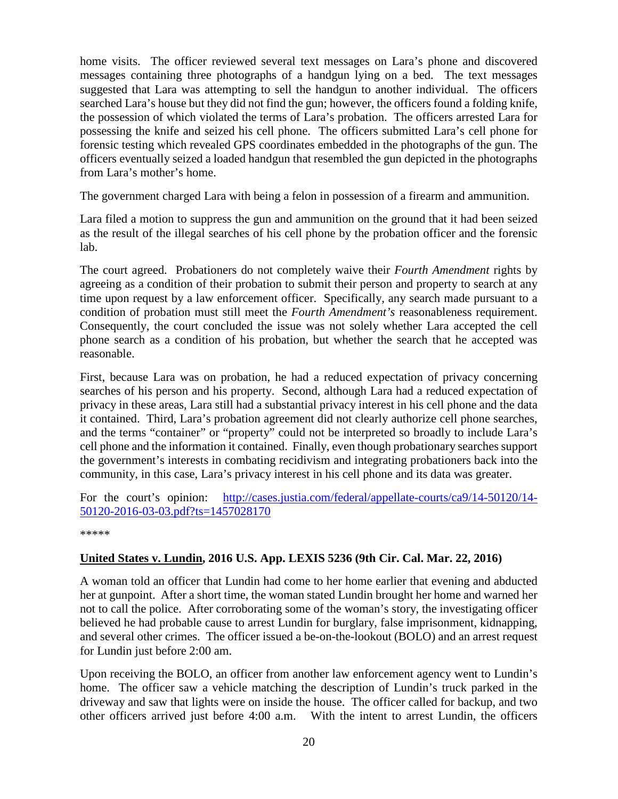home visits. The officer reviewed several text messages on Lara's phone and discovered messages containing three photographs of a handgun lying on a bed. The text messages suggested that Lara was attempting to sell the handgun to another individual. The officers searched Lara's house but they did not find the gun; however, the officers found a folding knife, the possession of which violated the terms of Lara's probation. The officers arrested Lara for possessing the knife and seized his cell phone. The officers submitted Lara's cell phone for forensic testing which revealed GPS coordinates embedded in the photographs of the gun. The officers eventually seized a loaded handgun that resembled the gun depicted in the photographs from Lara's mother's home.

The government charged Lara with being a felon in possession of a firearm and ammunition.

Lara filed a motion to suppress the gun and ammunition on the ground that it had been seized as the result of the illegal searches of his cell phone by the probation officer and the forensic lab.

The court agreed. Probationers do not completely waive their *Fourth Amendment* rights by agreeing as a condition of their probation to submit their person and property to search at any time upon request by a law enforcement officer. Specifically, any search made pursuant to a condition of probation must still meet the *Fourth Amendment's* reasonableness requirement. Consequently, the court concluded the issue was not solely whether Lara accepted the cell phone search as a condition of his probation, but whether the search that he accepted was reasonable.

First, because Lara was on probation, he had a reduced expectation of privacy concerning searches of his person and his property. Second, although Lara had a reduced expectation of privacy in these areas, Lara still had a substantial privacy interest in his cell phone and the data it contained. Third, Lara's probation agreement did not clearly authorize cell phone searches, and the terms "container" or "property" could not be interpreted so broadly to include Lara's cell phone and the information it contained. Finally, even though probationary searches support the government's interests in combating recidivism and integrating probationers back into the community, in this case, Lara's privacy interest in his cell phone and its data was greater.

For the court's opinion: [http://cases.justia.com/federal/appellate-courts/ca9/14-50120/14-](http://cases.justia.com/federal/appellate-courts/ca9/14-50120/14-50120-2016-03-03.pdf?ts=1457028170) [50120-2016-03-03.pdf?ts=1457028170](http://cases.justia.com/federal/appellate-courts/ca9/14-50120/14-50120-2016-03-03.pdf?ts=1457028170)

\*\*\*\*\*

#### <span id="page-19-0"></span>**United States v. Lundin, 2016 U.S. App. LEXIS 5236 (9th Cir. Cal. Mar. 22, 2016)**

A woman told an officer that Lundin had come to her home earlier that evening and abducted her at gunpoint. After a short time, the woman stated Lundin brought her home and warned her not to call the police. After corroborating some of the woman's story, the investigating officer believed he had probable cause to arrest Lundin for burglary, false imprisonment, kidnapping, and several other crimes. The officer issued a be-on-the-lookout (BOLO) and an arrest request for Lundin just before 2:00 am.

Upon receiving the BOLO, an officer from another law enforcement agency went to Lundin's home. The officer saw a vehicle matching the description of Lundin's truck parked in the driveway and saw that lights were on inside the house. The officer called for backup, and two other officers arrived just before 4:00 a.m. With the intent to arrest Lundin, the officers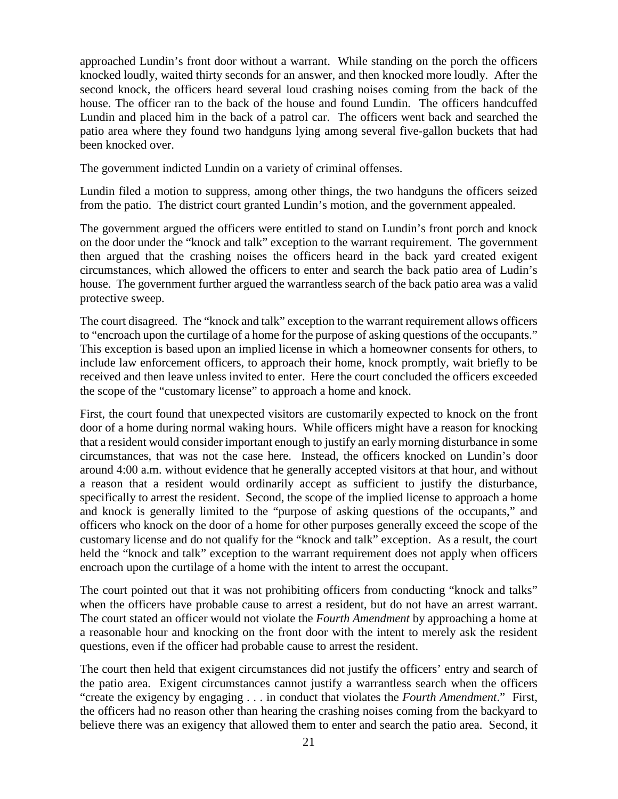approached Lundin's front door without a warrant. While standing on the porch the officers knocked loudly, waited thirty seconds for an answer, and then knocked more loudly. After the second knock, the officers heard several loud crashing noises coming from the back of the house. The officer ran to the back of the house and found Lundin. The officers handcuffed Lundin and placed him in the back of a patrol car. The officers went back and searched the patio area where they found two handguns lying among several five-gallon buckets that had been knocked over.

The government indicted Lundin on a variety of criminal offenses.

Lundin filed a motion to suppress, among other things, the two handguns the officers seized from the patio. The district court granted Lundin's motion, and the government appealed.

The government argued the officers were entitled to stand on Lundin's front porch and knock on the door under the "knock and talk" exception to the warrant requirement. The government then argued that the crashing noises the officers heard in the back yard created exigent circumstances, which allowed the officers to enter and search the back patio area of Ludin's house. The government further argued the warrantless search of the back patio area was a valid protective sweep.

The court disagreed. The "knock and talk" exception to the warrant requirement allows officers to "encroach upon the curtilage of a home for the purpose of asking questions of the occupants." This exception is based upon an implied license in which a homeowner consents for others, to include law enforcement officers, to approach their home, knock promptly, wait briefly to be received and then leave unless invited to enter. Here the court concluded the officers exceeded the scope of the "customary license" to approach a home and knock.

First, the court found that unexpected visitors are customarily expected to knock on the front door of a home during normal waking hours. While officers might have a reason for knocking that a resident would consider important enough to justify an early morning disturbance in some circumstances, that was not the case here. Instead, the officers knocked on Lundin's door around 4:00 a.m. without evidence that he generally accepted visitors at that hour, and without a reason that a resident would ordinarily accept as sufficient to justify the disturbance, specifically to arrest the resident. Second, the scope of the implied license to approach a home and knock is generally limited to the "purpose of asking questions of the occupants," and officers who knock on the door of a home for other purposes generally exceed the scope of the customary license and do not qualify for the "knock and talk" exception. As a result, the court held the "knock and talk" exception to the warrant requirement does not apply when officers encroach upon the curtilage of a home with the intent to arrest the occupant.

The court pointed out that it was not prohibiting officers from conducting "knock and talks" when the officers have probable cause to arrest a resident, but do not have an arrest warrant. The court stated an officer would not violate the *Fourth Amendment* by approaching a home at a reasonable hour and knocking on the front door with the intent to merely ask the resident questions, even if the officer had probable cause to arrest the resident.

The court then held that exigent circumstances did not justify the officers' entry and search of the patio area. Exigent circumstances cannot justify a warrantless search when the officers "create the exigency by engaging . . . in conduct that violates the *Fourth Amendment*." First, the officers had no reason other than hearing the crashing noises coming from the backyard to believe there was an exigency that allowed them to enter and search the patio area. Second, it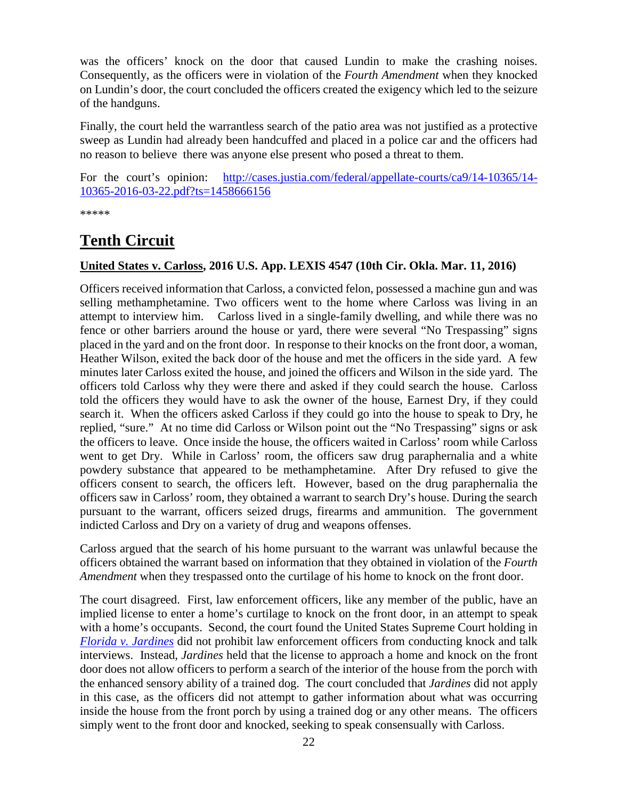was the officers' knock on the door that caused Lundin to make the crashing noises. Consequently, as the officers were in violation of the *Fourth Amendment* when they knocked on Lundin's door, the court concluded the officers created the exigency which led to the seizure of the handguns.

Finally, the court held the warrantless search of the patio area was not justified as a protective sweep as Lundin had already been handcuffed and placed in a police car and the officers had no reason to believe there was anyone else present who posed a threat to them.

For the court's opinion: [http://cases.justia.com/federal/appellate-courts/ca9/14-10365/14-](http://cases.justia.com/federal/appellate-courts/ca9/14-10365/14-10365-2016-03-22.pdf?ts=1458666156) [10365-2016-03-22.pdf?ts=1458666156](http://cases.justia.com/federal/appellate-courts/ca9/14-10365/14-10365-2016-03-22.pdf?ts=1458666156)

\*\*\*\*\*

# <span id="page-21-0"></span>**Tenth Circuit**

#### <span id="page-21-1"></span>**United States v. Carloss, 2016 U.S. App. LEXIS 4547 (10th Cir. Okla. Mar. 11, 2016)**

Officers received information that Carloss, a convicted felon, possessed a machine gun and was selling methamphetamine. Two officers went to the home where Carloss was living in an attempt to interview him. Carloss lived in a single-family dwelling, and while there was no fence or other barriers around the house or yard, there were several "No Trespassing" signs placed in the yard and on the front door. In response to their knocks on the front door, a woman, Heather Wilson, exited the back door of the house and met the officers in the side yard. A few minutes later Carloss exited the house, and joined the officers and Wilson in the side yard. The officers told Carloss why they were there and asked if they could search the house. Carloss told the officers they would have to ask the owner of the house, Earnest Dry, if they could search it. When the officers asked Carloss if they could go into the house to speak to Dry, he replied, "sure." At no time did Carloss or Wilson point out the "No Trespassing" signs or ask the officers to leave. Once inside the house, the officers waited in Carloss' room while Carloss went to get Dry. While in Carloss' room, the officers saw drug paraphernalia and a white powdery substance that appeared to be methamphetamine. After Dry refused to give the officers consent to search, the officers left. However, based on the drug paraphernalia the officers saw in Carloss' room, they obtained a warrant to search Dry's house. During the search pursuant to the warrant, officers seized drugs, firearms and ammunition. The government indicted Carloss and Dry on a variety of drug and weapons offenses.

Carloss argued that the search of his home pursuant to the warrant was unlawful because the officers obtained the warrant based on information that they obtained in violation of the *Fourth Amendment* when they trespassed onto the curtilage of his home to knock on the front door.

The court disagreed. First, law enforcement officers, like any member of the public, have an implied license to enter a home's curtilage to knock on the front door, in an attempt to speak with a home's occupants. Second, the court found the United States Supreme Court holding in *[Florida v. Jardines](http://www.supremecourt.gov/opinions/12pdf/11-564_5426.pdf)* did not prohibit law enforcement officers from conducting knock and talk interviews. Instead, *Jardines* held that the license to approach a home and knock on the front door does not allow officers to perform a search of the interior of the house from the porch with the enhanced sensory ability of a trained dog. The court concluded that *Jardines* did not apply in this case, as the officers did not attempt to gather information about what was occurring inside the house from the front porch by using a trained dog or any other means. The officers simply went to the front door and knocked, seeking to speak consensually with Carloss.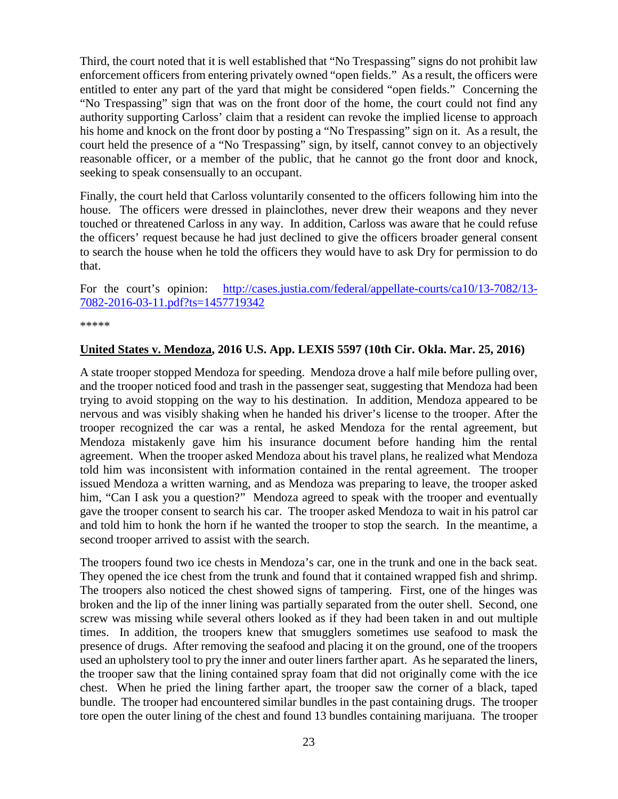Third, the court noted that it is well established that "No Trespassing" signs do not prohibit law enforcement officers from entering privately owned "open fields." As a result, the officers were entitled to enter any part of the yard that might be considered "open fields." Concerning the "No Trespassing" sign that was on the front door of the home, the court could not find any authority supporting Carloss' claim that a resident can revoke the implied license to approach his home and knock on the front door by posting a "No Trespassing" sign on it. As a result, the court held the presence of a "No Trespassing" sign, by itself, cannot convey to an objectively reasonable officer, or a member of the public, that he cannot go the front door and knock, seeking to speak consensually to an occupant.

Finally, the court held that Carloss voluntarily consented to the officers following him into the house. The officers were dressed in plainclothes, never drew their weapons and they never touched or threatened Carloss in any way. In addition, Carloss was aware that he could refuse the officers' request because he had just declined to give the officers broader general consent to search the house when he told the officers they would have to ask Dry for permission to do that.

For the court's opinion: [http://cases.justia.com/federal/appellate-courts/ca10/13-7082/13-](http://cases.justia.com/federal/appellate-courts/ca10/13-7082/13-7082-2016-03-11.pdf?ts=1457719342) [7082-2016-03-11.pdf?ts=1457719342](http://cases.justia.com/federal/appellate-courts/ca10/13-7082/13-7082-2016-03-11.pdf?ts=1457719342)

\*\*\*\*\*

#### <span id="page-22-0"></span>**United States v. Mendoza, 2016 U.S. App. LEXIS 5597 (10th Cir. Okla. Mar. 25, 2016)**

A state trooper stopped Mendoza for speeding. Mendoza drove a half mile before pulling over, and the trooper noticed food and trash in the passenger seat, suggesting that Mendoza had been trying to avoid stopping on the way to his destination. In addition, Mendoza appeared to be nervous and was visibly shaking when he handed his driver's license to the trooper. After the trooper recognized the car was a rental, he asked Mendoza for the rental agreement, but Mendoza mistakenly gave him his insurance document before handing him the rental agreement. When the trooper asked Mendoza about his travel plans, he realized what Mendoza told him was inconsistent with information contained in the rental agreement. The trooper issued Mendoza a written warning, and as Mendoza was preparing to leave, the trooper asked him, "Can I ask you a question?" Mendoza agreed to speak with the trooper and eventually gave the trooper consent to search his car. The trooper asked Mendoza to wait in his patrol car and told him to honk the horn if he wanted the trooper to stop the search. In the meantime, a second trooper arrived to assist with the search.

The troopers found two ice chests in Mendoza's car, one in the trunk and one in the back seat. They opened the ice chest from the trunk and found that it contained wrapped fish and shrimp. The troopers also noticed the chest showed signs of tampering. First, one of the hinges was broken and the lip of the inner lining was partially separated from the outer shell. Second, one screw was missing while several others looked as if they had been taken in and out multiple times. In addition, the troopers knew that smugglers sometimes use seafood to mask the presence of drugs. After removing the seafood and placing it on the ground, one of the troopers used an upholstery tool to pry the inner and outer liners farther apart. As he separated the liners, the trooper saw that the lining contained spray foam that did not originally come with the ice chest. When he pried the lining farther apart, the trooper saw the corner of a black, taped bundle. The trooper had encountered similar bundles in the past containing drugs. The trooper tore open the outer lining of the chest and found 13 bundles containing marijuana. The trooper